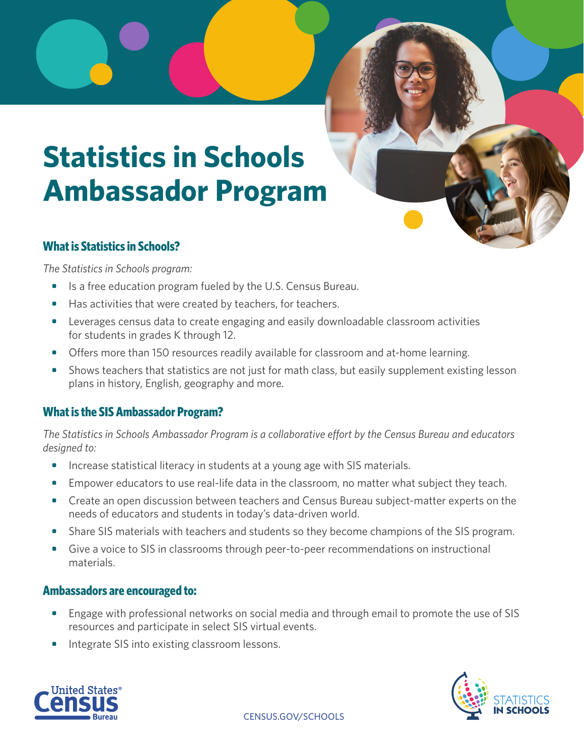# **Statistics in Schools Ambassador Program**

# **What is Statistics in Schools?**

*The Statistics in Schools program:*

- **•** Is a free education program fueled by the U.S. Census Bureau.
- **•** Has activities that were created by teachers, for teachers.
- **•** Leverages census data to create engaging and easily downloadable classroom activities for students in grades K through 12.
- Offers more than 150 resources readily available for classroom and at-home learning.
- **•** Shows teachers that statistics are not just for math class, but easily supplement existing lesson plans in history, English, geography and more.

# **What is the SIS Ambassador Program?**

*The Statistics in Schools Ambassador Program is a collaborative effort by the Census Bureau and educators designed to:* 

- **•** Increase statistical literacy in students at a young age with SIS materials.
- **•** Empower educators to use real-life data in the classroom, no matter what subject they teach.
- **•** Create an open discussion between teachers and Census Bureau subject-matter experts on the needs of educators and students in today's data-driven world.
- **•** Share SIS materials with teachers and students so they become champions of the SIS program.
- **•** Give a voice to SIS in classrooms through peer-to-peer recommendations on instructional materials.

# **Ambassadors are encouraged to:**

- **•** Engage with professional networks on social media and through email to promote the use of SIS resources and participate in select SIS virtual events.
- **•** Integrate SIS into existing classroom lessons.